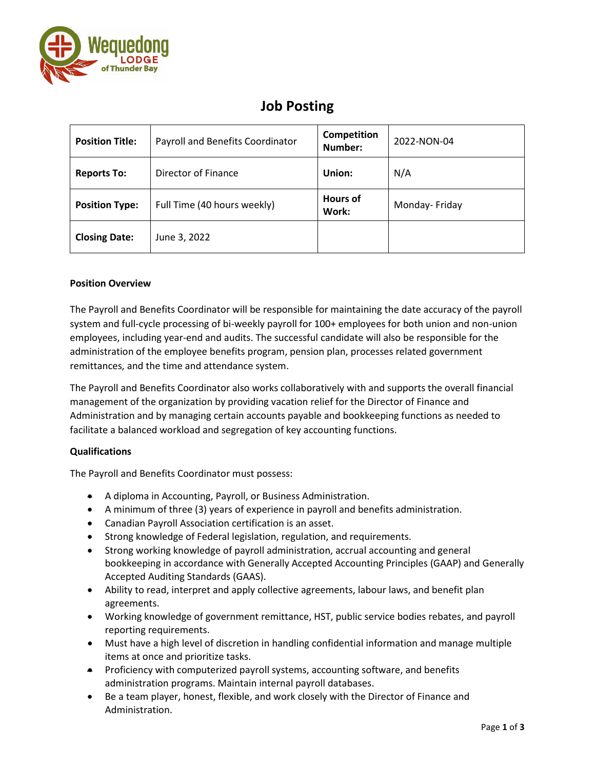

## **Job Posting**

| <b>Position Title:</b> | Payroll and Benefits Coordinator | Competition<br>Number:   | 2022-NON-04   |
|------------------------|----------------------------------|--------------------------|---------------|
| <b>Reports To:</b>     | Director of Finance              | Union:                   | N/A           |
| <b>Position Type:</b>  | Full Time (40 hours weekly)      | <b>Hours of</b><br>Work: | Monday-Friday |
| <b>Closing Date:</b>   | June 3, 2022                     |                          |               |

## **Position Overview**

The Payroll and Benefits Coordinator will be responsible for maintaining the date accuracy of the payroll system and full-cycle processing of bi-weekly payroll for 100+ employees for both union and non-union employees, including year-end and audits. The successful candidate will also be responsible for the administration of the employee benefits program, pension plan, processes related government remittances, and the time and attendance system.

The Payroll and Benefits Coordinator also works collaboratively with and supports the overall financial management of the organization by providing vacation relief for the Director of Finance and Administration and by managing certain accounts payable and bookkeeping functions as needed to facilitate a balanced workload and segregation of key accounting functions.

## **Qualifications**

The Payroll and Benefits Coordinator must possess:

- A diploma in Accounting, Payroll, or Business Administration.
- A minimum of three (3) years of experience in payroll and benefits administration.
- Canadian Payroll Association certification is an asset.
- Strong knowledge of Federal legislation, regulation, and requirements.
- Strong working knowledge of payroll administration, accrual accounting and general bookkeeping in accordance with Generally Accepted Accounting Principles (GAAP) and Generally Accepted Auditing Standards (GAAS).
- Ability to read, interpret and apply collective agreements, labour laws, and benefit plan agreements.
- Working knowledge of government remittance, HST, public service bodies rebates, and payroll reporting requirements.
- Must have a high level of discretion in handling confidential information and manage multiple items at once and prioritize tasks.
- Proficiency with computerized payroll systems, accounting software, and benefits administration programs. Maintain internal payroll databases.
- Be a team player, honest, flexible, and work closely with the Director of Finance and Administration.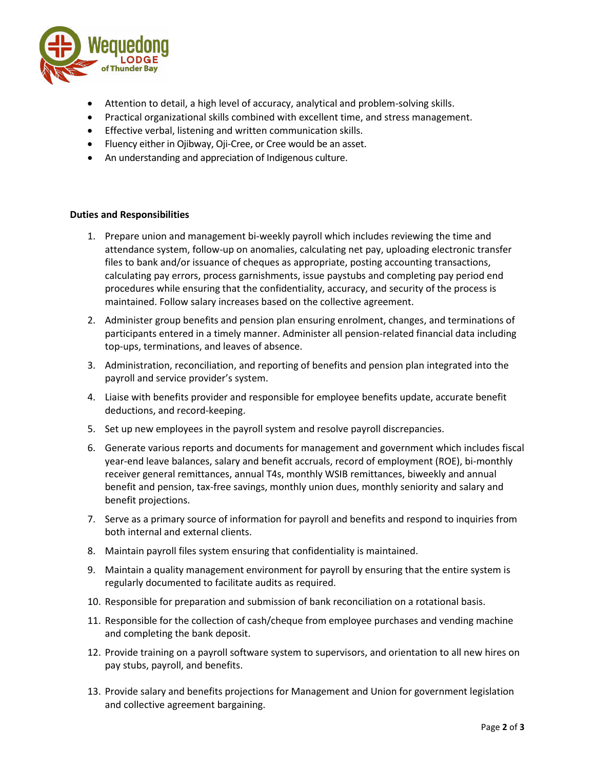

- Attention to detail, a high level of accuracy, analytical and problem-solving skills.
- Practical organizational skills combined with excellent time, and stress management.
- Effective verbal, listening and written communication skills.
- Fluency either in Ojibway, Oji-Cree, or Cree would be an asset.
- An understanding and appreciation of Indigenous culture.

## **Duties and Responsibilities**

- 1. Prepare union and management bi-weekly payroll which includes reviewing the time and attendance system, follow-up on anomalies, calculating net pay, uploading electronic transfer files to bank and/or issuance of cheques as appropriate, posting accounting transactions, calculating pay errors, process garnishments, issue paystubs and completing pay period end procedures while ensuring that the confidentiality, accuracy, and security of the process is maintained. Follow salary increases based on the collective agreement.
- 2. Administer group benefits and pension plan ensuring enrolment, changes, and terminations of participants entered in a timely manner. Administer all pension-related financial data including top-ups, terminations, and leaves of absence.
- 3. Administration, reconciliation, and reporting of benefits and pension plan integrated into the payroll and service provider's system.
- 4. Liaise with benefits provider and responsible for employee benefits update, accurate benefit deductions, and record-keeping.
- 5. Set up new employees in the payroll system and resolve payroll discrepancies.
- 6. Generate various reports and documents for management and government which includes fiscal year-end leave balances, salary and benefit accruals, record of employment (ROE), bi-monthly receiver general remittances, annual T4s, monthly WSIB remittances, biweekly and annual benefit and pension, tax-free savings, monthly union dues, monthly seniority and salary and benefit projections.
- 7. Serve as a primary source of information for payroll and benefits and respond to inquiries from both internal and external clients.
- 8. Maintain payroll files system ensuring that confidentiality is maintained.
- 9. Maintain a quality management environment for payroll by ensuring that the entire system is regularly documented to facilitate audits as required.
- 10. Responsible for preparation and submission of bank reconciliation on a rotational basis.
- 11. Responsible for the collection of cash/cheque from employee purchases and vending machine and completing the bank deposit.
- 12. Provide training on a payroll software system to supervisors, and orientation to all new hires on pay stubs, payroll, and benefits.
- 13. Provide salary and benefits projections for Management and Union for government legislation and collective agreement bargaining.